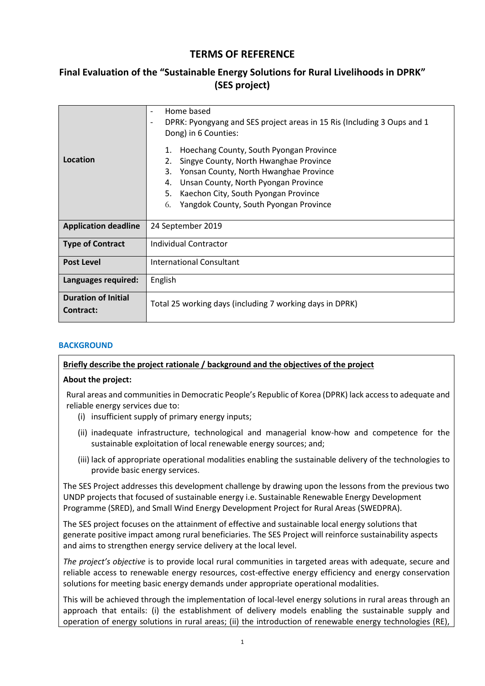# **TERMS OF REFERENCE**

# **Final Evaluation of the "Sustainable Energy Solutions for Rural Livelihoods in DPRK" (SES project)**

| Location                                | Home based<br>$\qquad \qquad -$<br>DPRK: Pyongyang and SES project areas in 15 Ris (Including 3 Oups and 1<br>$\qquad \qquad -$<br>Dong) in 6 Counties:<br>Hoechang County, South Pyongan Province<br>1.<br>Singye County, North Hwanghae Province<br>2.<br>Yonsan County, North Hwanghae Province<br>3.<br>Unsan County, North Pyongan Province<br>4.<br>Kaechon City, South Pyongan Province<br>5.<br>Yangdok County, South Pyongan Province<br>6. |  |  |  |  |
|-----------------------------------------|------------------------------------------------------------------------------------------------------------------------------------------------------------------------------------------------------------------------------------------------------------------------------------------------------------------------------------------------------------------------------------------------------------------------------------------------------|--|--|--|--|
| <b>Application deadline</b>             | 24 September 2019                                                                                                                                                                                                                                                                                                                                                                                                                                    |  |  |  |  |
| <b>Type of Contract</b>                 | Individual Contractor                                                                                                                                                                                                                                                                                                                                                                                                                                |  |  |  |  |
| <b>Post Level</b>                       | International Consultant                                                                                                                                                                                                                                                                                                                                                                                                                             |  |  |  |  |
| Languages required:                     | English                                                                                                                                                                                                                                                                                                                                                                                                                                              |  |  |  |  |
| <b>Duration of Initial</b><br>Contract: | Total 25 working days (including 7 working days in DPRK)                                                                                                                                                                                                                                                                                                                                                                                             |  |  |  |  |

#### **BACKGROUND**

#### **Briefly describe the project rationale / background and the objectives of the project**

#### **About the project:**

• Rural areas and communities in Democratic People's Republic of Korea (DPRK) lack access to adequate and reliable energy services due to:

- (i) insufficient supply of primary energy inputs;
- (ii) inadequate infrastructure, technological and managerial know-how and competence for the sustainable exploitation of local renewable energy sources; and;
- (iii) lack of appropriate operational modalities enabling the sustainable delivery of the technologies to provide basic energy services.

The SES Project addresses this development challenge by drawing upon the lessons from the previous two UNDP projects that focused of sustainable energy i.e. Sustainable Renewable Energy Development Programme (SRED), and Small Wind Energy Development Project for Rural Areas (SWEDPRA).

The SES project focuses on the attainment of effective and sustainable local energy solutions that generate positive impact among rural beneficiaries. The SES Project will reinforce sustainability aspects and aims to strengthen energy service delivery at the local level.

*The project's objective* is to provide local rural communities in targeted areas with adequate, secure and reliable access to renewable energy resources, cost-effective energy efficiency and energy conservation solutions for meeting basic energy demands under appropriate operational modalities.

This will be achieved through the implementation of local-level energy solutions in rural areas through an approach that entails: (i) the establishment of delivery models enabling the sustainable supply and operation of energy solutions in rural areas; (ii) the introduction of renewable energy technologies (RE),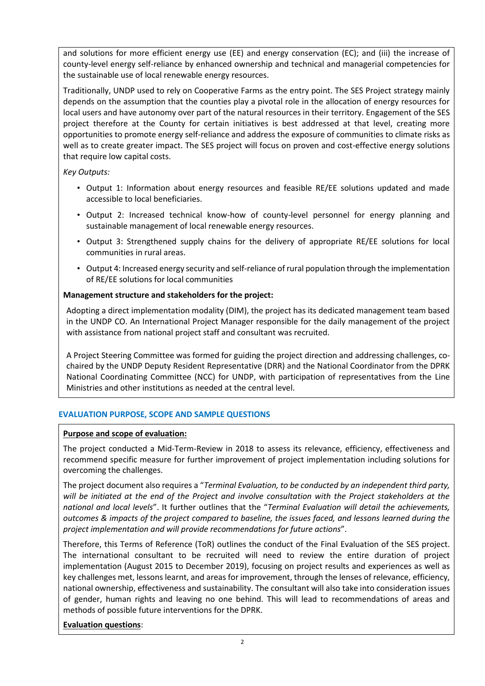and solutions for more efficient energy use (EE) and energy conservation (EC); and (iii) the increase of county-level energy self-reliance by enhanced ownership and technical and managerial competencies for the sustainable use of local renewable energy resources.

Traditionally, UNDP used to rely on Cooperative Farms as the entry point. The SES Project strategy mainly depends on the assumption that the counties play a pivotal role in the allocation of energy resources for local users and have autonomy over part of the natural resources in their territory. Engagement of the SES project therefore at the County for certain initiatives is best addressed at that level, creating more opportunities to promote energy self-reliance and address the exposure of communities to climate risks as well as to create greater impact. The SES project will focus on proven and cost-effective energy solutions that require low capital costs.

### *Key Outputs:*

- Output 1: Information about energy resources and feasible RE/EE solutions updated and made accessible to local beneficiaries.
- Output 2: Increased technical know-how of county-level personnel for energy planning and sustainable management of local renewable energy resources.
- Output 3: Strengthened supply chains for the delivery of appropriate RE/EE solutions for local communities in rural areas.
- Output 4: Increased energy security and self-reliance of rural population through the implementation of RE/EE solutions for local communities

### **Management structure and stakeholders for the project:**

• Adopting a direct implementation modality (DIM), the project has its dedicated management team based in the UNDP CO. An International Project Manager responsible for the daily management of the project with assistance from national project staff and consultant was recruited.

• A Project Steering Committee was formed for guiding the project direction and addressing challenges, cochaired by the UNDP Deputy Resident Representative (DRR) and the National Coordinator from the DPRK National Coordinating Committee (NCC) for UNDP, with participation of representatives from the Line Ministries and other institutions as needed at the central level.

### **EVALUATION PURPOSE, SCOPE AND SAMPLE QUESTIONS**

### **Purpose and scope of evaluation:**

The project conducted a Mid-Term-Review in 2018 to assess its relevance, efficiency, effectiveness and recommend specific measure for further improvement of project implementation including solutions for overcoming the challenges.

The project document also requires a "*Terminal Evaluation, to be conducted by an independent third party, will be initiated at the end of the Project and involve consultation with the Project stakeholders at the national and local levels*". It further outlines that the "*Terminal Evaluation will detail the achievements, outcomes & impacts of the project compared to baseline, the issues faced, and lessons learned during the project implementation and will provide recommendations for future actions*".

• Therefore, this Terms of Reference (ToR) outlines the conduct of the Final Evaluation of the SES project. The international consultant to be recruited will need to review the entire duration of project implementation (August 2015 to December 2019), focusing on project results and experiences as well as key challenges met, lessons learnt, and areas for improvement, through the lenses of relevance, efficiency, national ownership, effectiveness and sustainability. The consultant will also take into consideration issues of gender, human rights and leaving no one behind. This will lead to recommendations of areas and methods of possible future interventions for the DPRK.

### **Evaluation questions**: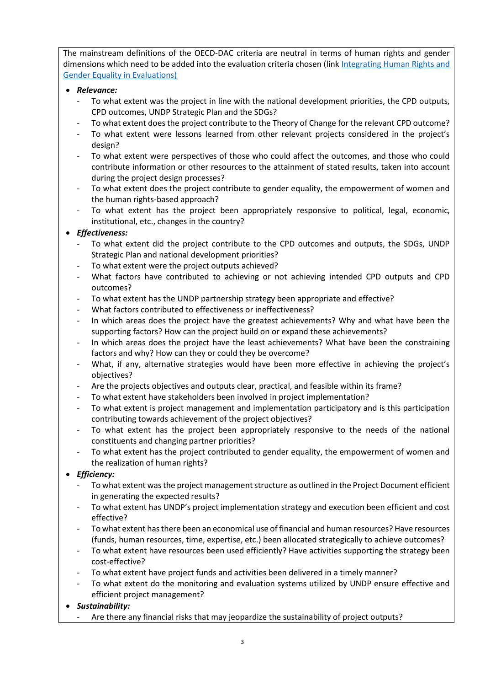The mainstream definitions of the OECD-DAC criteria are neutral in terms of human rights and gender dimensions which need to be added into the evaluation criteria chosen (link [Integrating Human Rights and](http://unevaluation.org/document/detail/1616)  [Gender Equality in Evaluations\)](http://unevaluation.org/document/detail/1616)

## • *Relevance:*

- To what extent was the project in line with the national development priorities, the CPD outputs, CPD outcomes, UNDP Strategic Plan and the SDGs?
- To what extent does the project contribute to the Theory of Change for the relevant CPD outcome?
- To what extent were lessons learned from other relevant projects considered in the project's design?
- To what extent were perspectives of those who could affect the outcomes, and those who could contribute information or other resources to the attainment of stated results, taken into account during the project design processes?
- To what extent does the project contribute to gender equality, the empowerment of women and the human rights-based approach?
- To what extent has the project been appropriately responsive to political, legal, economic, institutional, etc., changes in the country?

# • *Effectiveness:*

- To what extent did the project contribute to the CPD outcomes and outputs, the SDGs, UNDP Strategic Plan and national development priorities?
- To what extent were the project outputs achieved?
- What factors have contributed to achieving or not achieving intended CPD outputs and CPD outcomes?
- To what extent has the UNDP partnership strategy been appropriate and effective?
- What factors contributed to effectiveness or ineffectiveness?
- In which areas does the project have the greatest achievements? Why and what have been the supporting factors? How can the project build on or expand these achievements?
- In which areas does the project have the least achievements? What have been the constraining factors and why? How can they or could they be overcome?
- What, if any, alternative strategies would have been more effective in achieving the project's objectives?
- Are the projects objectives and outputs clear, practical, and feasible within its frame?
- To what extent have stakeholders been involved in project implementation?
- To what extent is project management and implementation participatory and is this participation contributing towards achievement of the project objectives?
- To what extent has the project been appropriately responsive to the needs of the national constituents and changing partner priorities?
- To what extent has the project contributed to gender equality, the empowerment of women and the realization of human rights?

# • *Efficiency:*

- To what extent was the project management structure as outlined in the Project Document efficient in generating the expected results?
- To what extent has UNDP's project implementation strategy and execution been efficient and cost effective?
- To what extent has there been an economical use of financial and human resources? Have resources (funds, human resources, time, expertise, etc.) been allocated strategically to achieve outcomes?
- To what extent have resources been used efficiently? Have activities supporting the strategy been cost-effective?
- To what extent have project funds and activities been delivered in a timely manner?
- To what extent do the monitoring and evaluation systems utilized by UNDP ensure effective and efficient project management?

### • *Sustainability:*

Are there any financial risks that may jeopardize the sustainability of project outputs?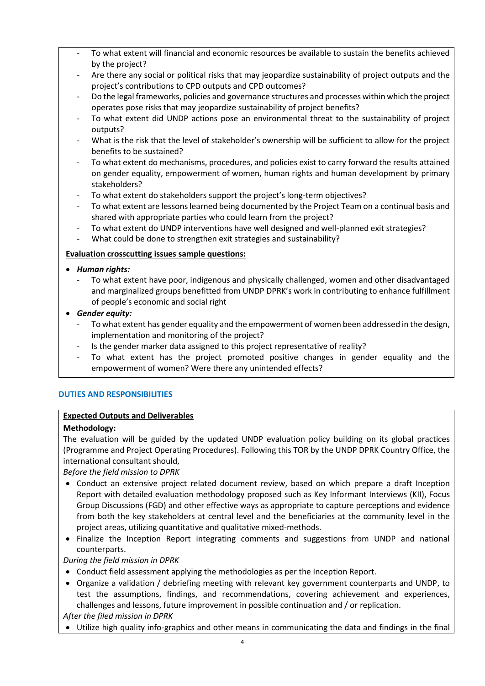- To what extent will financial and economic resources be available to sustain the benefits achieved by the project?
- Are there any social or political risks that may jeopardize sustainability of project outputs and the project's contributions to CPD outputs and CPD outcomes?
- Do the legal frameworks, policies and governance structures and processes within which the project operates pose risks that may jeopardize sustainability of project benefits?
- To what extent did UNDP actions pose an environmental threat to the sustainability of project outputs?
- What is the risk that the level of stakeholder's ownership will be sufficient to allow for the project benefits to be sustained?
- To what extent do mechanisms, procedures, and policies exist to carry forward the results attained on gender equality, empowerment of women, human rights and human development by primary stakeholders?
- To what extent do stakeholders support the project's long-term objectives?
- To what extent are lessons learned being documented by the Project Team on a continual basis and shared with appropriate parties who could learn from the project?
- To what extent do UNDP interventions have well designed and well-planned exit strategies?
- What could be done to strengthen exit strategies and sustainability?

## **Evaluation crosscutting issues sample questions:**

- *Human rights:*
	- To what extent have poor, indigenous and physically challenged, women and other disadvantaged and marginalized groups benefitted from UNDP DPRK's work in contributing to enhance fulfillment of people's economic and social right
- *Gender equity:*
	- To what extent has gender equality and the empowerment of women been addressed in the design, implementation and monitoring of the project?
	- Is the gender marker data assigned to this project representative of reality?
	- To what extent has the project promoted positive changes in gender equality and the empowerment of women? Were there any unintended effects?

### **DUTIES AND RESPONSIBILITIES**

### **Expected Outputs and Deliverables**

### **Methodology:**

The evaluation will be guided by the updated UNDP evaluation policy building on its global practices (Programme and Project Operating Procedures). Following this TOR by the UNDP DPRK Country Office, the international consultant should,

*Before the field mission to DPRK*

- Conduct an extensive project related document review, based on which prepare a draft Inception Report with detailed evaluation methodology proposed such as Key Informant Interviews (KII), Focus Group Discussions (FGD) and other effective ways as appropriate to capture perceptions and evidence from both the key stakeholders at central level and the beneficiaries at the community level in the project areas, utilizing quantitative and qualitative mixed-methods.
- Finalize the Inception Report integrating comments and suggestions from UNDP and national counterparts.

### *During the field mission in DPRK*

- Conduct field assessment applying the methodologies as per the Inception Report.
- Organize a validation / debriefing meeting with relevant key government counterparts and UNDP, to test the assumptions, findings, and recommendations, covering achievement and experiences, challenges and lessons, future improvement in possible continuation and / or replication.

*After the filed mission in DPRK*

• Utilize high quality info-graphics and other means in communicating the data and findings in the final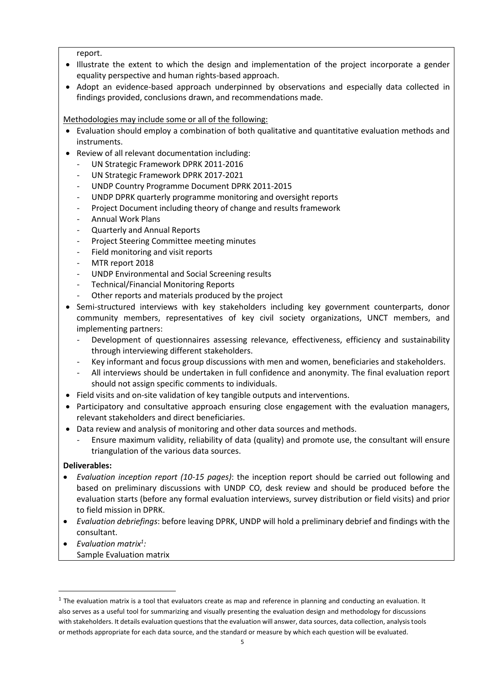report.

- Illustrate the extent to which the design and implementation of the project incorporate a gender equality perspective and human rights-based approach.
- Adopt an evidence-based approach underpinned by observations and especially data collected in findings provided, conclusions drawn, and recommendations made.

Methodologies may include some or all of the following:

- Evaluation should employ a combination of both qualitative and quantitative evaluation methods and instruments.
- Review of all relevant documentation including:
	- UN Strategic Framework DPRK 2011-2016
	- UN Strategic Framework DPRK 2017-2021
	- UNDP Country Programme Document DPRK 2011-2015
	- UNDP DPRK quarterly programme monitoring and oversight reports
	- Project Document including theory of change and results framework
	- Annual Work Plans
	- Quarterly and Annual Reports
	- Project Steering Committee meeting minutes
	- Field monitoring and visit reports
	- MTR report 2018
	- UNDP Environmental and Social Screening results
	- Technical/Financial Monitoring Reports
	- Other reports and materials produced by the project
- Semi-structured interviews with key stakeholders including key government counterparts, donor community members, representatives of key civil society organizations, UNCT members, and implementing partners:
	- Development of questionnaires assessing relevance, effectiveness, efficiency and sustainability through interviewing different stakeholders.
	- Key informant and focus group discussions with men and women, beneficiaries and stakeholders.
	- All interviews should be undertaken in full confidence and anonymity. The final evaluation report should not assign specific comments to individuals.
- Field visits and on-site validation of key tangible outputs and interventions.
- Participatory and consultative approach ensuring close engagement with the evaluation managers, relevant stakeholders and direct beneficiaries.
- Data review and analysis of monitoring and other data sources and methods.
	- Ensure maximum validity, reliability of data (quality) and promote use, the consultant will ensure triangulation of the various data sources.

#### **Deliverables:**

1

- *Evaluation inception report (10-15 pages)*: the inception report should be carried out following and based on preliminary discussions with UNDP CO, desk review and should be produced before the evaluation starts (before any formal evaluation interviews, survey distribution or field visits) and prior to field mission in DPRK.
- *Evaluation debriefings*: before leaving DPRK, UNDP will hold a preliminary debrief and findings with the consultant.
- *Evaluation matrix<sup>1</sup> :*  Sample Evaluation matrix

 $<sup>1</sup>$  The evaluation matrix is a tool that evaluators create as map and reference in planning and conducting an evaluation. It</sup> also serves as a useful tool for summarizing and visually presenting the evaluation design and methodology for discussions with stakeholders. It details evaluation questions that the evaluation will answer, data sources, data collection, analysis tools or methods appropriate for each data source, and the standard or measure by which each question will be evaluated.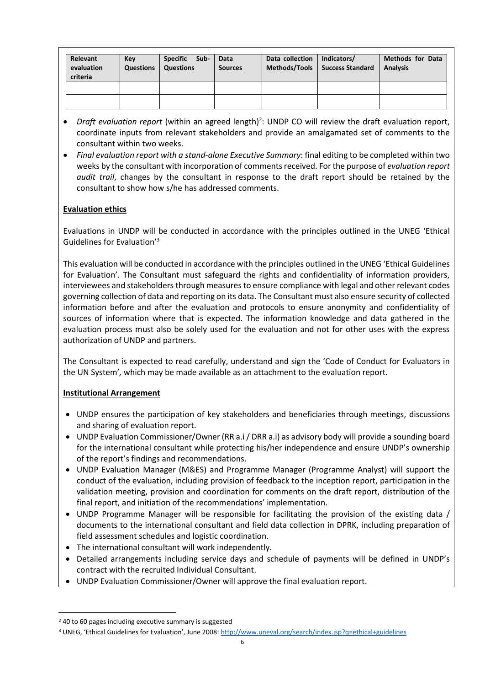| Relevant<br>evaluation<br>criteria | Key<br><b>Questions</b> | <b>Specific</b><br>Sub-<br><b>Questions</b> | Data<br><b>Sources</b> | Data collection<br>Methods/Tools | Indicators/<br><b>Success Standard</b> | <b>Methods for Data</b><br><b>Analysis</b> |
|------------------------------------|-------------------------|---------------------------------------------|------------------------|----------------------------------|----------------------------------------|--------------------------------------------|
|                                    |                         |                                             |                        |                                  |                                        |                                            |
|                                    |                         |                                             |                        |                                  |                                        |                                            |

- *Draft evaluation report* (within an agreed length)<sup>2</sup>: UNDP CO will review the draft evaluation report, coordinate inputs from relevant stakeholders and provide an amalgamated set of comments to the consultant within two weeks.
- *Final evaluation report with a stand-alone Executive Summary*: final editing to be completed within two weeks by the consultant with incorporation of comments received. For the purpose of *evaluation report audit trail*, changes by the consultant in response to the draft report should be retained by the consultant to show how s/he has addressed comments.

## **Evaluation ethics**

Evaluations in UNDP will be conducted in accordance with the principles outlined in the UNEG 'Ethical Guidelines for Evaluation'<sup>3</sup>

This evaluation will be conducted in accordance with the principles outlined in the UNEG 'Ethical Guidelines for Evaluation'. The Consultant must safeguard the rights and confidentiality of information providers, interviewees and stakeholders through measures to ensure compliance with legal and other relevant codes governing collection of data and reporting on its data. The Consultant must also ensure security of collected information before and after the evaluation and protocols to ensure anonymity and confidentiality of sources of information where that is expected. The information knowledge and data gathered in the evaluation process must also be solely used for the evaluation and not for other uses with the express authorization of UNDP and partners.

The Consultant is expected to read carefully, understand and sign the 'Code of Conduct for Evaluators in the UN System'*,* which may be made available as an attachment to the evaluation report.

### **Institutional Arrangement**

- UNDP ensures the participation of key stakeholders and beneficiaries through meetings, discussions and sharing of evaluation report.
- UNDP Evaluation Commissioner/Owner (RR a.i / DRR a.i) as advisory body will provide a sounding board for the international consultant while protecting his/her independence and ensure UNDP's ownership of the report's findings and recommendations.
- UNDP Evaluation Manager (M&ES) and Programme Manager (Programme Analyst) will support the conduct of the evaluation, including provision of feedback to the inception report, participation in the validation meeting, provision and coordination for comments on the draft report, distribution of the final report, and initiation of the recommendations' implementation.
- UNDP Programme Manager will be responsible for facilitating the provision of the existing data / documents to the international consultant and field data collection in DPRK, including preparation of field assessment schedules and logistic coordination.
- The international consultant will work independently.
- Detailed arrangements including service days and schedule of payments will be defined in UNDP's contract with the recruited Individual Consultant.
- UNDP Evaluation Commissioner/Owner will approve the final evaluation report.

 $\overline{\phantom{a}}$ 

<sup>&</sup>lt;sup>2</sup> 40 to 60 pages including executive summary is suggested

<sup>3</sup> UNEG, 'Ethical Guidelines for Evaluation', June 2008[: http://www.uneval.org/search/index.jsp?q=ethical+guidelines](http://www.uneval.org/search/index.jsp?q=ethical+guidelines)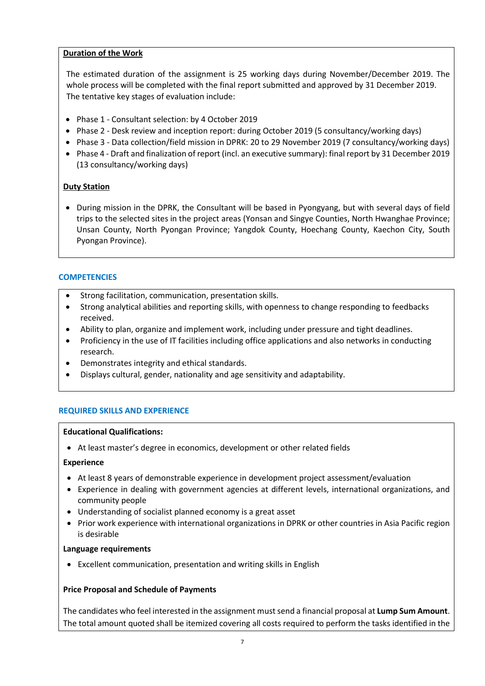#### **Duration of the Work**

• The estimated duration of the assignment is 25 working days during November/December 2019. The whole process will be completed with the final report submitted and approved by 31 December 2019. The tentative key stages of evaluation include:

- Phase 1 Consultant selection: by 4 October 2019
- Phase 2 Desk review and inception report: during October 2019 (5 consultancy/working days)
- Phase 3 Data collection/field mission in DPRK: 20 to 29 November 2019 (7 consultancy/working days)
- Phase 4 Draft and finalization of report (incl. an executive summary): final report by 31 December 2019 (13 consultancy/working days)

#### **Duty Station**

• During mission in the DPRK, the Consultant will be based in Pyongyang, but with several days of field trips to the selected sites in the project areas (Yonsan and Singye Counties, North Hwanghae Province; Unsan County, North Pyongan Province; Yangdok County, Hoechang County, Kaechon City, South Pyongan Province).

#### **COMPETENCIES**

- Strong facilitation, communication, presentation skills.
- Strong analytical abilities and reporting skills, with openness to change responding to feedbacks received.
- Ability to plan, organize and implement work, including under pressure and tight deadlines.
- Proficiency in the use of IT facilities including office applications and also networks in conducting research.
- Demonstrates integrity and ethical standards.
- Displays cultural, gender, nationality and age sensitivity and adaptability.

#### **REQUIRED SKILLS AND EXPERIENCE**

#### **Educational Qualifications:**

• At least master's degree in economics, development or other related fields

#### **Experience**

- At least 8 years of demonstrable experience in development project assessment/evaluation
- Experience in dealing with government agencies at different levels, international organizations, and community people
- Understanding of socialist planned economy is a great asset
- Prior work experience with international organizations in DPRK or other countries in Asia Pacific region is desirable

#### **Language requirements**

• Excellent communication, presentation and writing skills in English

#### **Price Proposal and Schedule of Payments**

The candidates who feel interested in the assignment must send a financial proposal at **Lump Sum Amount**. The total amount quoted shall be itemized covering all costs required to perform the tasks identified in the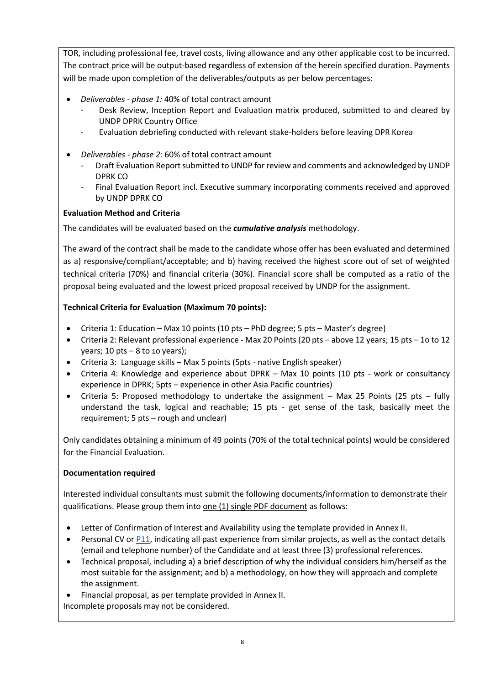TOR, including professional fee, travel costs, living allowance and any other applicable cost to be incurred. The contract price will be output-based regardless of extension of the herein specified duration. Payments will be made upon completion of the deliverables/outputs as per below percentages:

- *Deliverables - phase 1:* 40% of total contract amount
	- Desk Review, Inception Report and Evaluation matrix produced, submitted to and cleared by UNDP DPRK Country Office
	- Evaluation debriefing conducted with relevant stake-holders before leaving DPR Korea
- *Deliverables - phase 2:* 60% of total contract amount
	- Draft Evaluation Report submitted to UNDP for review and comments and acknowledged by UNDP DPRK CO
	- Final Evaluation Report incl. Executive summary incorporating comments received and approved by UNDP DPRK CO

# **Evaluation Method and Criteria**

The candidates will be evaluated based on the *cumulative analysis* methodology.

The award of the contract shall be made to the candidate whose offer has been evaluated and determined as a) responsive/compliant/acceptable; and b) having received the highest score out of set of weighted technical criteria (70%) and financial criteria (30%). Financial score shall be computed as a ratio of the proposal being evaluated and the lowest priced proposal received by UNDP for the assignment.

# **Technical Criteria for Evaluation (Maximum 70 points):**

- Criteria 1: Education Max 10 points (10 pts PhD degree; 5 pts Master's degree)
- Criteria 2: Relevant professional experience Max 20 Points (20 pts above 12 years; 15 pts 10 to 12 years;  $10$  pts  $-8$  to 10 years);
- Criteria 3: Language skills Max 5 points (5pts native English speaker)
- Criteria 4: Knowledge and experience about DPRK Max 10 points (10 pts work or consultancy experience in DPRK; 5pts – experience in other Asia Pacific countries)
- Criteria 5: Proposed methodology to undertake the assignment Max 25 Points (25 pts fully understand the task, logical and reachable; 15 pts - get sense of the task, basically meet the requirement; 5 pts – rough and unclear)

Only candidates obtaining a minimum of 49 points (70% of the total technical points) would be considered for the Financial Evaluation.

### **Documentation required**

Interested individual consultants must submit the following documents/information to demonstrate their qualifications. Please group them into one (1) single PDF document as follows:

- Letter of Confirmation of Interest and Availability using the template provided in Annex II.
- Personal CV o[r P11,](https://info.undp.org/global/documents/cap/P11%20modified%20for%20SCs%20and%20ICs.doc) indicating all past experience from similar projects, as well as the contact details (email and telephone number) of the Candidate and at least three (3) professional references.
- Technical proposal, including a) a brief description of why the individual considers him/herself as the most suitable for the assignment; and b) a methodology, on how they will approach and complete the assignment.

• Financial proposal, as per template provided in Annex II. Incomplete proposals may not be considered.